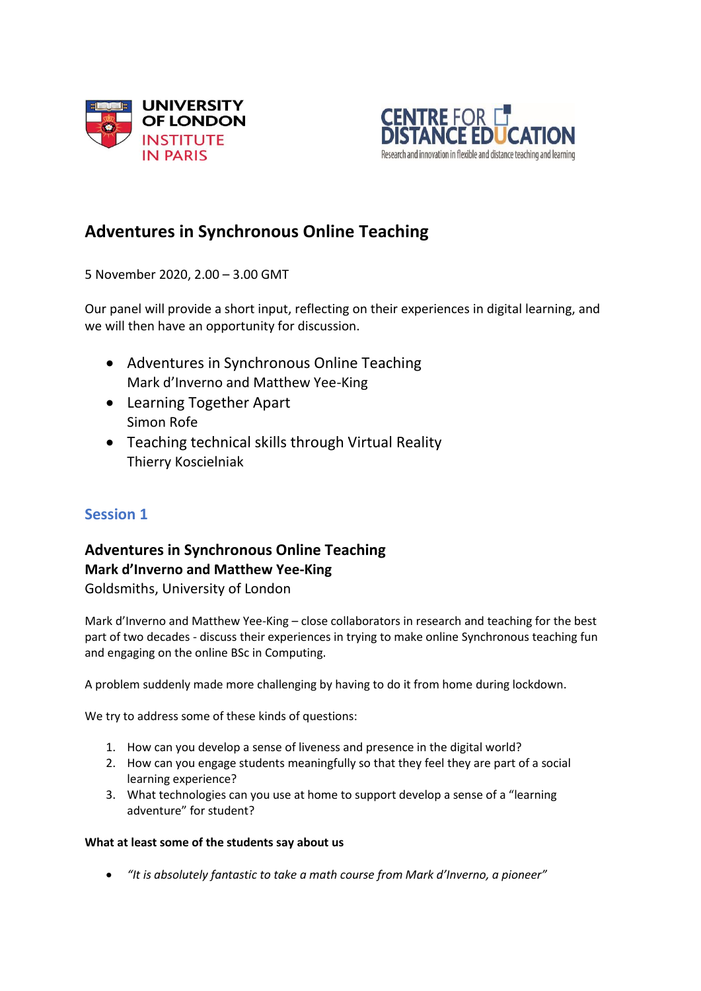



# **Adventures in Synchronous Online Teaching**

5 November 2020, 2.00 – 3.00 GMT

Our panel will provide a short input, reflecting on their experiences in digital learning, and we will then have an opportunity for discussion.

- Adventures in Synchronous Online Teaching Mark d'Inverno and Matthew Yee-King
- Learning Together Apart Simon Rofe
- Teaching technical skills through Virtual Reality Thierry Koscielniak

## **Session 1**

# **Adventures in Synchronous Online Teaching Mark d'Inverno and Matthew Yee-King**

Goldsmiths, University of London

Mark d'Inverno and Matthew Yee-King – close collaborators in research and teaching for the best part of two decades - discuss their experiences in trying to make online Synchronous teaching fun and engaging on the online BSc in Computing.

A problem suddenly made more challenging by having to do it from home during lockdown.

We try to address some of these kinds of questions:

- 1. How can you develop a sense of liveness and presence in the digital world?
- 2. How can you engage students meaningfully so that they feel they are part of a social learning experience?
- 3. What technologies can you use at home to support develop a sense of a "learning adventure" for student?

#### **What at least some of the students say about us**

*"It is absolutely fantastic to take a math course from Mark d'Inverno, a pioneer"*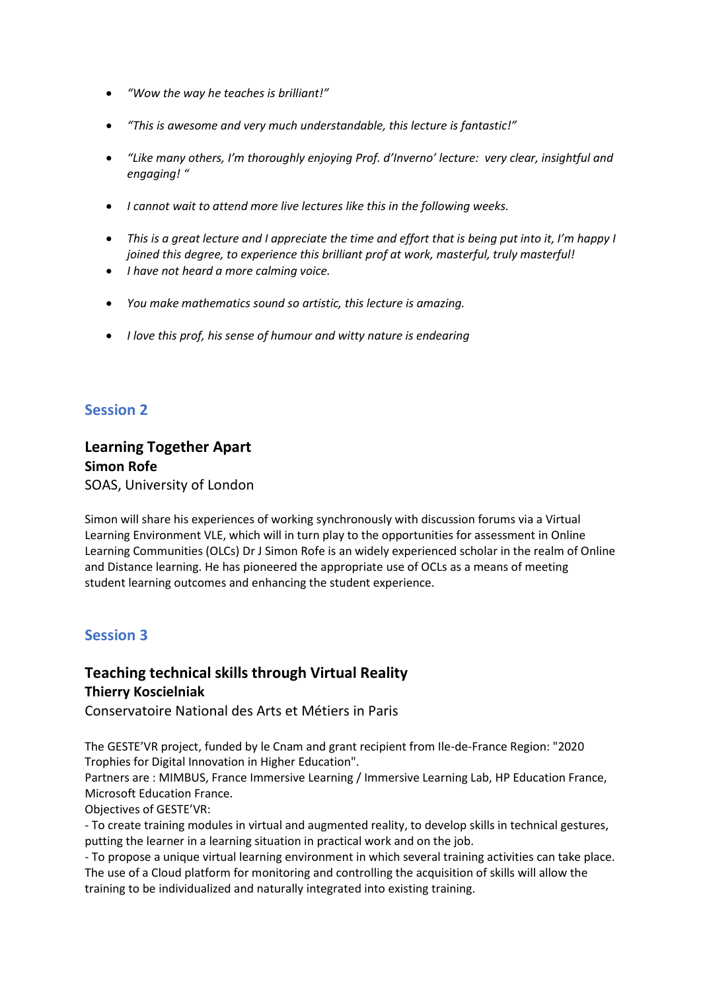- *"Wow the way he teaches is brilliant!"*
- *"This is awesome and very much understandable, this lecture is fantastic!"*
- *"Like many others, I'm thoroughly enjoying Prof. d'Inverno' lecture: very clear, insightful and engaging! "*
- *I cannot wait to attend more live lectures like this in the following weeks.*
- *This is a great lecture and I appreciate the time and effort that is being put into it, I'm happy I joined this degree, to experience this brilliant prof at work, masterful, truly masterful!*
- *I have not heard a more calming voice.*
- *You make mathematics sound so artistic, this lecture is amazing.*
- *I love this prof, his sense of humour and witty nature is endearing*

#### **Session 2**

#### **Learning Together Apart Simon Rofe** SOAS, University of London

Simon will share his experiences of working synchronously with discussion forums via a Virtual Learning Environment VLE, which will in turn play to the opportunities for assessment in Online Learning Communities (OLCs) Dr J Simon Rofe is an widely experienced scholar in the realm of Online and Distance learning. He has pioneered the appropriate use of OCLs as a means of meeting student learning outcomes and enhancing the student experience.

#### **Session 3**

#### **Teaching technical skills through Virtual Reality Thierry Koscielniak**

Conservatoire National des Arts et Métiers in Paris

The GESTE'VR project, funded by le Cnam and grant recipient from Ile-de-France Region: "2020 Trophies for Digital Innovation in Higher Education".

Partners are : MIMBUS, France Immersive Learning / Immersive Learning Lab, HP Education France, Microsoft Education France.

Objectives of GESTE'VR:

- To create training modules in virtual and augmented reality, to develop skills in technical gestures, putting the learner in a learning situation in practical work and on the job.

- To propose a unique virtual learning environment in which several training activities can take place. The use of a Cloud platform for monitoring and controlling the acquisition of skills will allow the training to be individualized and naturally integrated into existing training.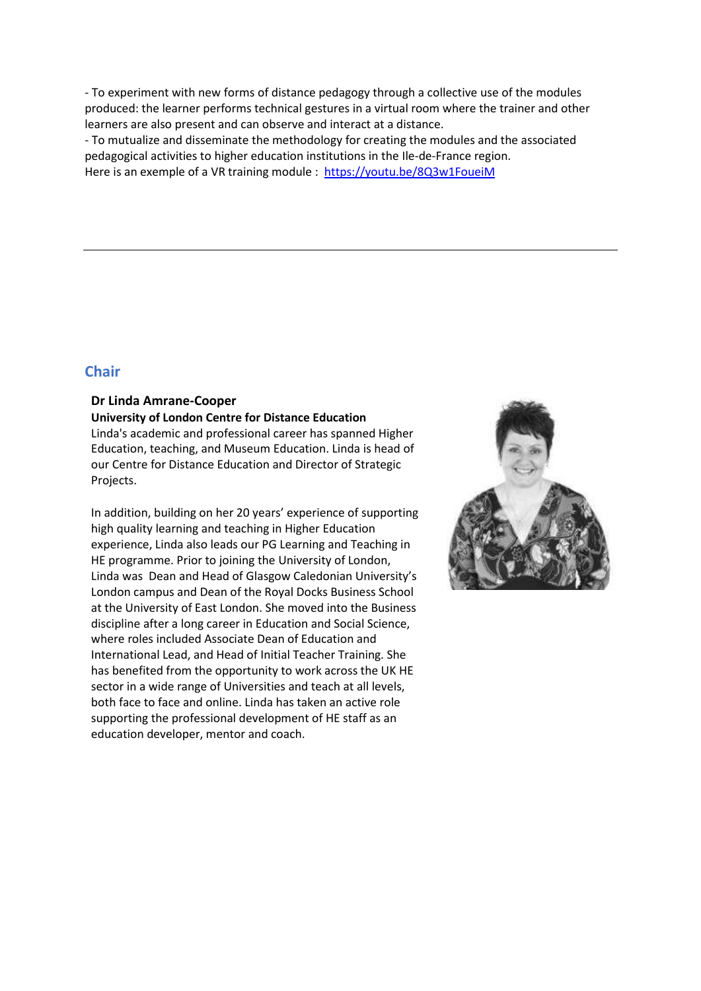- To experiment with new forms of distance pedagogy through a collective use of the modules produced: the learner performs technical gestures in a virtual room where the trainer and other learners are also present and can observe and interact at a distance.

- To mutualize and disseminate the methodology for creating the modules and the associated pedagogical activities to higher education institutions in the Ile-de-France region. Here is an exemple of a VR training module : <https://youtu.be/8Q3w1FoueiM>

#### **Chair**

## **Dr Linda Amrane-Cooper**

**University of London Centre for Distance Education** Linda's academic and professional career has spanned Higher Education, teaching, and Museum Education. Linda is head of our Centre for Distance Education and Director of Strategic Projects.

In addition, building on her 20 years' experience of supporting high quality learning and teaching in Higher Education experience, Linda also leads our PG Learning and Teaching in HE programme. Prior to joining the University of London, Linda was Dean and Head of Glasgow Caledonian University's London campus and Dean of the Royal Docks Business School at the University of East London. She moved into the Business discipline after a long career in Education and Social Science, where roles included Associate Dean of Education and International Lead, and Head of Initial Teacher Training. She has benefited from the opportunity to work across the UK HE sector in a wide range of Universities and teach at all levels, both face to face and online. Linda has taken an active role supporting the professional development of HE staff as an education developer, mentor and coach.

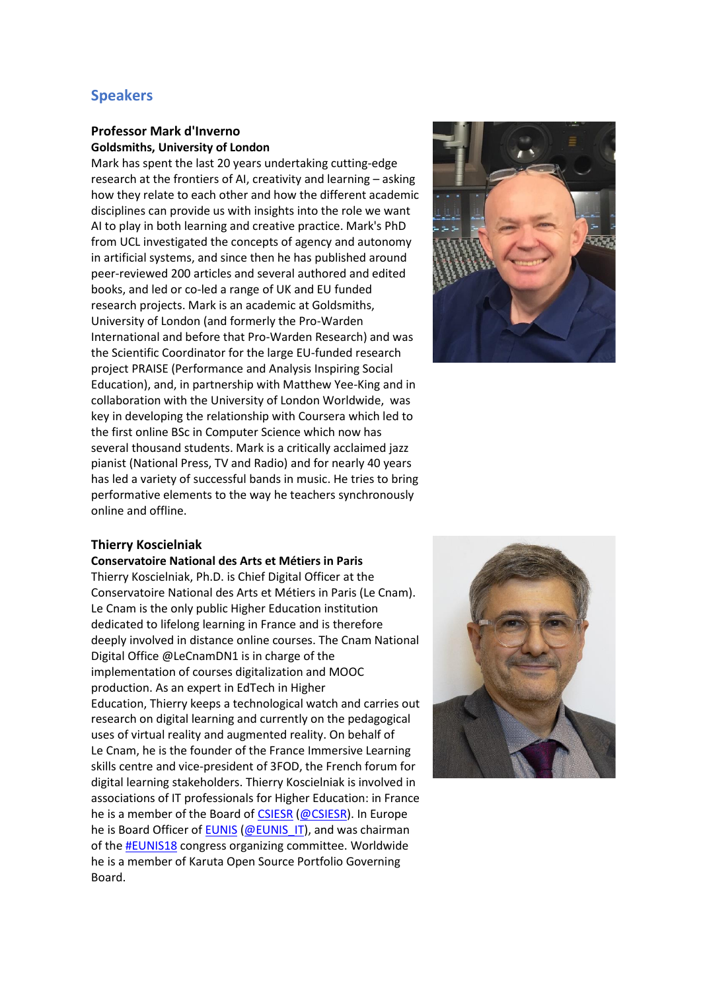### **Speakers**

#### **Professor Mark d'Inverno Goldsmiths, University of London**

Mark has spent the last 20 years undertaking cutting-edge research at the frontiers of AI, creativity and learning – asking how they relate to each other and how the different academic disciplines can provide us with insights into the role we want AI to play in both learning and creative practice. Mark's PhD from UCL investigated the concepts of agency and autonomy in artificial systems, and since then he has published around peer-reviewed 200 articles and several authored and edited books, and led or co-led a range of UK and EU funded research projects. Mark is an academic at Goldsmiths, University of London (and formerly the Pro-Warden International and before that Pro-Warden Research) and was the Scientific Coordinator for the large EU-funded research project PRAISE (Performance and Analysis Inspiring Social Education), and, in partnership with Matthew Yee-King and in collaboration with the University of London Worldwide, was key in developing the relationship with Coursera which led to the first online BSc in Computer Science which now has several thousand students. Mark is a critically acclaimed jazz pianist (National Press, TV and Radio) and for nearly 40 years has led a variety of successful bands in music. He tries to bring performative elements to the way he teachers synchronously online and offline.



#### **Thierry Koscielniak**

**Conservatoire National des Arts et Métiers in Paris** Thierry Koscielniak, Ph.D. is Chief Digital Officer at the Conservatoire National des Arts et Métiers in Paris (Le Cnam). Le Cnam is the only public Higher Education institution dedicated to lifelong learning in France and is therefore deeply involved in distance online courses. The Cnam National Digital Office @LeCnamDN1 is in charge of the implementation of courses digitalization and MOOC production. As an expert in EdTech in Higher Education, Thierry keeps a technological watch and carries out research on digital learning and currently on the pedagogical uses of virtual reality and augmented reality. On behalf of Le Cnam, he is the founder of the France Immersive Learning skills centre and vice-president of 3FOD, the French forum for digital learning stakeholders. Thierry Koscielniak is involved in associations of IT professionals for Higher Education: in France he is a member of the Board of [CSIESR](http://www.csiesr.eu/) [\(@CSIESR\)](https://twitter.com/csiesr). In Europe he is Board Officer of [EUNIS](https://www.eunis.org/) [\(@EUNIS\\_IT\)](https://twitter.com/EUNIS_IT), and was chairman of the [#EUNIS18](https://www.eunis.org/eunis2018/) congress organizing committee. Worldwide he is a member of Karuta Open Source Portfolio Governing Board.